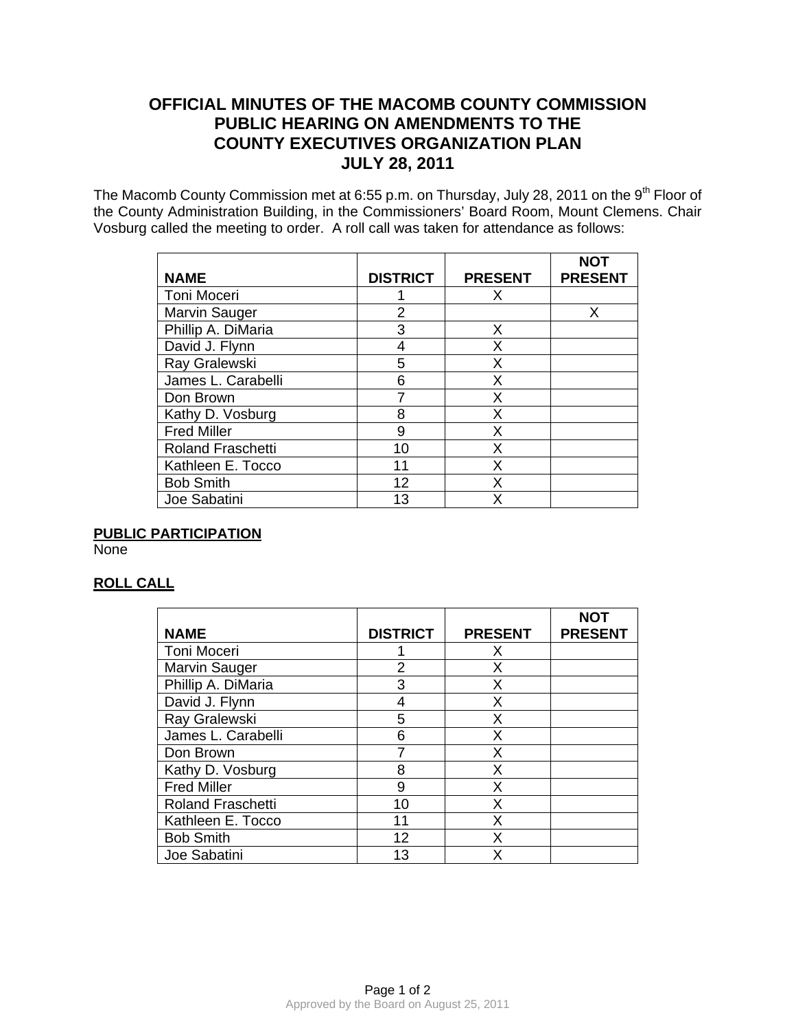# **OFFICIAL MINUTES OF THE MACOMB COUNTY COMMISSION PUBLIC HEARING ON AMENDMENTS TO THE COUNTY EXECUTIVES ORGANIZATION PLAN JULY 28, 2011**

The Macomb County Commission met at 6:55 p.m. on Thursday, July 28, 2011 on the 9<sup>th</sup> Floor of the County Administration Building, in the Commissioners' Board Room, Mount Clemens. Chair Vosburg called the meeting to order. A roll call was taken for attendance as follows:

| <b>NAME</b>              | <b>DISTRICT</b> | <b>PRESENT</b> | <b>NOT</b><br><b>PRESENT</b> |
|--------------------------|-----------------|----------------|------------------------------|
| Toni Moceri              |                 | x              |                              |
| Marvin Sauger            | 2               |                | Х                            |
| Phillip A. DiMaria       | 3               | X              |                              |
| David J. Flynn           |                 | X              |                              |
| Ray Gralewski            | 5               | X              |                              |
| James L. Carabelli       | 6               | X              |                              |
| Don Brown                |                 | X              |                              |
| Kathy D. Vosburg         | 8               | X              |                              |
| <b>Fred Miller</b>       | 9               | X              |                              |
| <b>Roland Fraschetti</b> | 10              | X              |                              |
| Kathleen E. Tocco        | 11              | X              |                              |
| <b>Bob Smith</b>         | 12              | x              |                              |
| Joe Sabatini             | 13              | x              |                              |

# **PUBLIC PARTICIPATION**

**None** 

# **ROLL CALL**

|                          |                 |                | <b>NOT</b>     |
|--------------------------|-----------------|----------------|----------------|
| <b>NAME</b>              | <b>DISTRICT</b> | <b>PRESENT</b> | <b>PRESENT</b> |
| <b>Toni Moceri</b>       |                 | x              |                |
| Marvin Sauger            | 2               | Х              |                |
| Phillip A. DiMaria       | 3               | Χ              |                |
| David J. Flynn           |                 | X              |                |
| Ray Gralewski            | 5               | Χ              |                |
| James L. Carabelli       | 6               | x              |                |
| Don Brown                |                 | х              |                |
| Kathy D. Vosburg         | 8               | х              |                |
| <b>Fred Miller</b>       | 9               | Χ              |                |
| <b>Roland Fraschetti</b> | 10              | Χ              |                |
| Kathleen E. Tocco        | 11              | Χ              |                |
| <b>Bob Smith</b>         | 12              | Χ              |                |
| Joe Sabatini             | 13              |                |                |